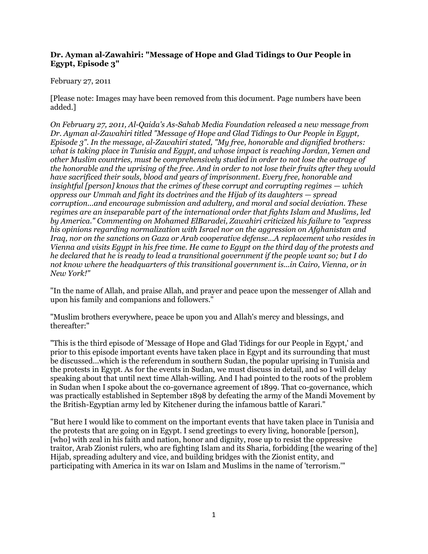## **Dr. Ayman al-Zawahiri: "Message of Hope and Glad Tidings to Our People in Egypt, Episode 3"**

## February 27, 2011

[Please note: Images may have been removed from this document. Page numbers have been added.]

*On February 27, 2011, Al-Qaida's As-Sahab Media Foundation released a new message from Dr. Ayman al-Zawahiri titled "Message of Hope and Glad Tidings to Our People in Egypt, Episode 3". In the message, al-Zawahiri stated, "My free, honorable and dignified brothers: what is taking place in Tunisia and Egypt, and whose impact is reaching Jordan, Yemen and other Muslim countries, must be comprehensively studied in order to not lose the outrage of the honorable and the uprising of the free. And in order to not lose their fruits after they would have sacrificed their souls, blood and years of imprisonment. Every free, honorable and insightful [person] knows that the crimes of these corrupt and corrupting regimes — which oppress our Ummah and fight its doctrines and the Hijab of its daughters — spread corruption...and encourage submission and adultery, and moral and social deviation. These regimes are an inseparable part of the international order that fights Islam and Muslims, led by America." Commenting on Mohamed ElBaradei, Zawahiri criticized his failure to "express his opinions regarding normalization with Israel nor on the aggression on Afghanistan and Iraq, nor on the sanctions on Gaza or Arab cooperative defense...A replacement who resides in Vienna and visits Egypt in his free time. He came to Egypt on the third day of the protests and he declared that he is ready to lead a transitional government if the people want so; but I do not know where the headquarters of this transitional government is...in Cairo, Vienna, or in New York!"*

"In the name of Allah, and praise Allah, and prayer and peace upon the messenger of Allah and upon his family and companions and followers."

"Muslim brothers everywhere, peace be upon you and Allah's mercy and blessings, and thereafter:"

"This is the third episode of 'Message of Hope and Glad Tidings for our People in Egypt,' and prior to this episode important events have taken place in Egypt and its surrounding that must be discussed...which is the referendum in southern Sudan, the popular uprising in Tunisia and the protests in Egypt. As for the events in Sudan, we must discuss in detail, and so I will delay speaking about that until next time Allah-willing. And I had pointed to the roots of the problem in Sudan when I spoke about the co-governance agreement of 1899. That co-governance, which was practically established in September 1898 by defeating the army of the Mandi Movement by the British-Egyptian army led by Kitchener during the infamous battle of Karari."

"But here I would like to comment on the important events that have taken place in Tunisia and the protests that are going on in Egypt. I send greetings to every living, honorable [person], [who] with zeal in his faith and nation, honor and dignity, rose up to resist the oppressive traitor, Arab Zionist rulers, who are fighting Islam and its Sharia, forbidding [the wearing of the] Hijab, spreading adultery and vice, and building bridges with the Zionist entity, and participating with America in its war on Islam and Muslims in the name of 'terrorism.'"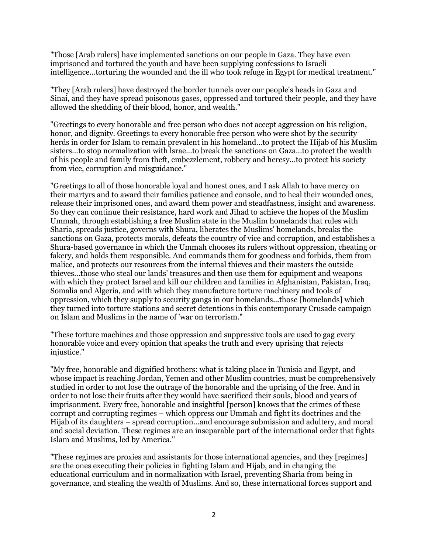"Those [Arab rulers] have implemented sanctions on our people in Gaza. They have even imprisoned and tortured the youth and have been supplying confessions to Israeli intelligence...torturing the wounded and the ill who took refuge in Egypt for medical treatment."

"They [Arab rulers] have destroyed the border tunnels over our people's heads in Gaza and Sinai, and they have spread poisonous gases, oppressed and tortured their people, and they have allowed the shedding of their blood, honor, and wealth."

"Greetings to every honorable and free person who does not accept aggression on his religion, honor, and dignity. Greetings to every honorable free person who were shot by the security herds in order for Islam to remain prevalent in his homeland...to protect the Hijab of his Muslim sisters...to stop normalization with lsrae...to break the sanctions on Gaza...to protect the wealth of his people and family from theft, embezzlement, robbery and heresy...to protect his society from vice, corruption and misguidance."

"Greetings to all of those honorable loyal and honest ones, and I ask Allah to have mercy on their martyrs and to award their families patience and console, and to heal their wounded ones, release their imprisoned ones, and award them power and steadfastness, insight and awareness. So they can continue their resistance, hard work and Jihad to achieve the hopes of the Muslim Ummah, through establishing a free Muslim state in the Muslim homelands that rules with Sharia, spreads justice, governs with Shura, liberates the Muslims' homelands, breaks the sanctions on Gaza, protects morals, defeats the country of vice and corruption, and establishes a Shura-based governance in which the Ummah chooses its rulers without oppression, cheating or fakery, and holds them responsible. And commands them for goodness and forbids, them from malice, and protects our resources from the internal thieves and their masters the outside thieves...those who steal our lands' treasures and then use them for equipment and weapons with which they protect Israel and kill our children and families in Afghanistan, Pakistan, Iraq, Somalia and Algeria, and with which they manufacture torture machinery and tools of oppression, which they supply to security gangs in our homelands...those [homelands] which they turned into torture stations and secret detentions in this contemporary Crusade campaign on Islam and Muslims in the name of 'war on terrorism."

"These torture machines and those oppression and suppressive tools are used to gag every honorable voice and every opinion that speaks the truth and every uprising that rejects injustice."

"My free, honorable and dignified brothers: what is taking place in Tunisia and Egypt, and whose impact is reaching Jordan, Yemen and other Muslim countries, must be comprehensively studied in order to not lose the outrage of the honorable and the uprising of the free. And in order to not lose their fruits after they would have sacrificed their souls, blood and years of imprisonment. Every free, honorable and insightful [person] knows that the crimes of these corrupt and corrupting regimes – which oppress our Ummah and fight its doctrines and the Hijab of its daughters – spread corruption...and encourage submission and adultery, and moral and social deviation. These regimes are an inseparable part of the international order that fights Islam and Muslims, led by America."

"These regimes are proxies and assistants for those international agencies, and they [regimes] are the ones executing their policies in fighting Islam and Hijab, and in changing the educational curriculum and in normalization with Israel, preventing Sharia from being in governance, and stealing the wealth of Muslims. And so, these international forces support and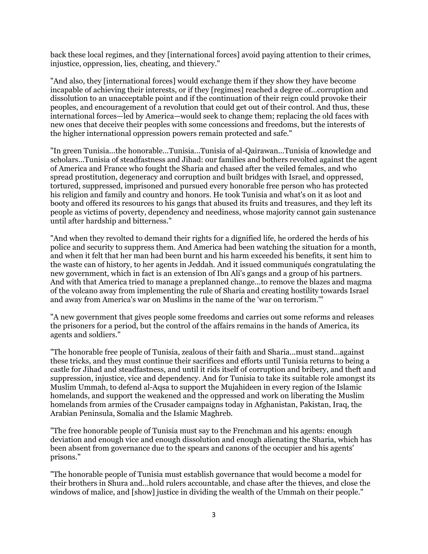back these local regimes, and they [international forces] avoid paying attention to their crimes, injustice, oppression, lies, cheating, and thievery."

"And also, they [international forces] would exchange them if they show they have become incapable of achieving their interests, or if they [regimes] reached a degree of...corruption and dissolution to an unacceptable point and if the continuation of their reign could provoke their peoples, and encouragement of a revolution that could get out of their control. And thus, these international forces—led by America—would seek to change them; replacing the old faces with new ones that deceive their peoples with some concessions and freedoms, but the interests of the higher international oppression powers remain protected and safe."

"In green Tunisia...the honorable...Tunisia...Tunisia of al-Qairawan...Tunisia of knowledge and scholars...Tunisia of steadfastness and Jihad: our families and bothers revolted against the agent of America and France who fought the Sharia and chased after the veiled females, and who spread prostitution, degeneracy and corruption and built bridges with Israel, and oppressed, tortured, suppressed, imprisoned and pursued every honorable free person who has protected his religion and family and country and honors. He took Tunisia and what's on it as loot and booty and offered its resources to his gangs that abused its fruits and treasures, and they left its people as victims of poverty, dependency and neediness, whose majority cannot gain sustenance until after hardship and bitterness."

"And when they revolted to demand their rights for a dignified life, he ordered the herds of his police and security to suppress them. And America had been watching the situation for a month, and when it felt that her man had been burnt and his harm exceeded his benefits, it sent him to the waste can of history, to her agents in Jeddah. And it issued communiqués congratulating the new government, which in fact is an extension of Ibn Ali's gangs and a group of his partners. And with that America tried to manage a preplanned change...to remove the blazes and magma of the volcano away from implementing the rule of Sharia and creating hostility towards Israel and away from America's war on Muslims in the name of the 'war on terrorism.'"

"A new government that gives people some freedoms and carries out some reforms and releases the prisoners for a period, but the control of the affairs remains in the hands of America, its agents and soldiers."

"The honorable free people of Tunisia, zealous of their faith and Sharia...must stand...against these tricks, and they must continue their sacrifices and efforts until Tunisia returns to being a castle for Jihad and steadfastness, and until it rids itself of corruption and bribery, and theft and suppression, injustice, vice and dependency. And for Tunisia to take its suitable role amongst its Muslim Ummah, to defend al-Aqsa to support the Mujahideen in every region of the Islamic homelands, and support the weakened and the oppressed and work on liberating the Muslim homelands from armies of the Crusader campaigns today in Afghanistan, Pakistan, Iraq, the Arabian Peninsula, Somalia and the Islamic Maghreb.

"The free honorable people of Tunisia must say to the Frenchman and his agents: enough deviation and enough vice and enough dissolution and enough alienating the Sharia, which has been absent from governance due to the spears and canons of the occupier and his agents' prisons."

"The honorable people of Tunisia must establish governance that would become a model for their brothers in Shura and...hold rulers accountable, and chase after the thieves, and close the windows of malice, and [show] justice in dividing the wealth of the Ummah on their people."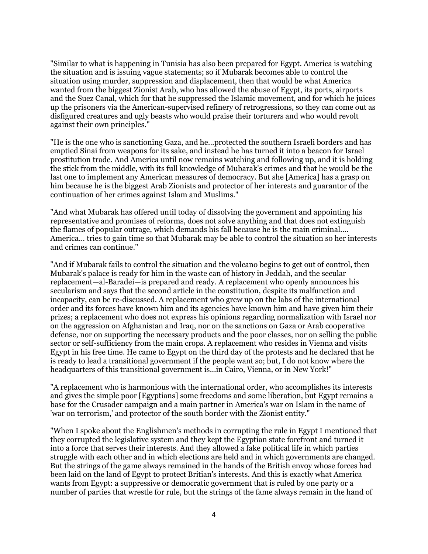"Similar to what is happening in Tunisia has also been prepared for Egypt. America is watching the situation and is issuing vague statements; so if Mubarak becomes able to control the situation using murder, suppression and displacement, then that would be what America wanted from the biggest Zionist Arab, who has allowed the abuse of Egypt, its ports, airports and the Suez Canal, which for that he suppressed the Islamic movement, and for which he juices up the prisoners via the American-supervised refinery of retrogressions, so they can come out as disfigured creatures and ugly beasts who would praise their torturers and who would revolt against their own principles."

"He is the one who is sanctioning Gaza, and he...protected the southern Israeli borders and has emptied Sinai from weapons for its sake, and instead he has turned it into a beacon for Israel prostitution trade. And America until now remains watching and following up, and it is holding the stick from the middle, with its full knowledge of Mubarak's crimes and that he would be the last one to implement any American measures of democracy. But she [America] has a grasp on him because he is the biggest Arab Zionists and protector of her interests and guarantor of the continuation of her crimes against Islam and Muslims."

"And what Mubarak has offered until today of dissolving the government and appointing his representative and promises of reforms, does not solve anything and that does not extinguish the flames of popular outrage, which demands his fall because he is the main criminal.... America... tries to gain time so that Mubarak may be able to control the situation so her interests and crimes can continue."

"And if Mubarak fails to control the situation and the volcano begins to get out of control, then Mubarak's palace is ready for him in the waste can of history in Jeddah, and the secular replacement—al-Baradei—is prepared and ready. A replacement who openly announces his secularism and says that the second article in the constitution, despite its malfunction and incapacity, can be re-discussed. A replacement who grew up on the labs of the international order and its forces have known him and its agencies have known him and have given him their prizes; a replacement who does not express his opinions regarding normalization with Israel nor on the aggression on Afghanistan and Iraq, nor on the sanctions on Gaza or Arab cooperative defense, nor on supporting the necessary products and the poor classes, nor on selling the public sector or self-sufficiency from the main crops. A replacement who resides in Vienna and visits Egypt in his free time. He came to Egypt on the third day of the protests and he declared that he is ready to lead a transitional government if the people want so; but, I do not know where the headquarters of this transitional government is...in Cairo, Vienna, or in New York!"

"A replacement who is harmonious with the international order, who accomplishes its interests and gives the simple poor [Egyptians] some freedoms and some liberation, but Egypt remains a base for the Crusader campaign and a main partner in America's war on Islam in the name of 'war on terrorism,' and protector of the south border with the Zionist entity."

"When I spoke about the Englishmen's methods in corrupting the rule in Egypt I mentioned that they corrupted the legislative system and they kept the Egyptian state forefront and turned it into a force that serves their interests. And they allowed a fake political life in which parties struggle with each other and in which elections are held and in which governments are changed. But the strings of the game always remained in the hands of the British envoy whose forces had been laid on the land of Egypt to protect Britian's interests. And this is exactly what America wants from Egypt: a suppressive or democratic government that is ruled by one party or a number of parties that wrestle for rule, but the strings of the fame always remain in the hand of